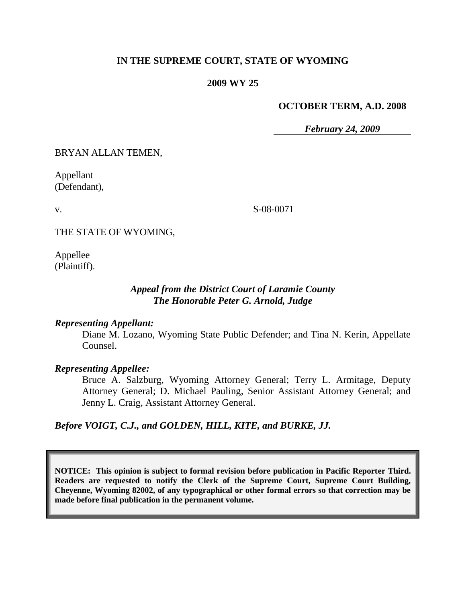## **IN THE SUPREME COURT, STATE OF WYOMING**

#### **2009 WY 25**

#### **OCTOBER TERM, A.D. 2008**

*February 24, 2009*

BRYAN ALLAN TEMEN,

Appellant (Defendant),

S-08-0071

THE STATE OF WYOMING,

Appellee (Plaintiff).

## *Appeal from the District Court of Laramie County The Honorable Peter G. Arnold, Judge*

#### *Representing Appellant:*

Diane M. Lozano, Wyoming State Public Defender; and Tina N. Kerin, Appellate Counsel.

#### *Representing Appellee:*

Bruce A. Salzburg, Wyoming Attorney General; Terry L. Armitage, Deputy Attorney General; D. Michael Pauling, Senior Assistant Attorney General; and Jenny L. Craig, Assistant Attorney General.

*Before VOIGT, C.J., and GOLDEN, HILL, KITE, and BURKE, JJ.*

**NOTICE: This opinion is subject to formal revision before publication in Pacific Reporter Third. Readers are requested to notify the Clerk of the Supreme Court, Supreme Court Building, Cheyenne, Wyoming 82002, of any typographical or other formal errors so that correction may be made before final publication in the permanent volume.**

v.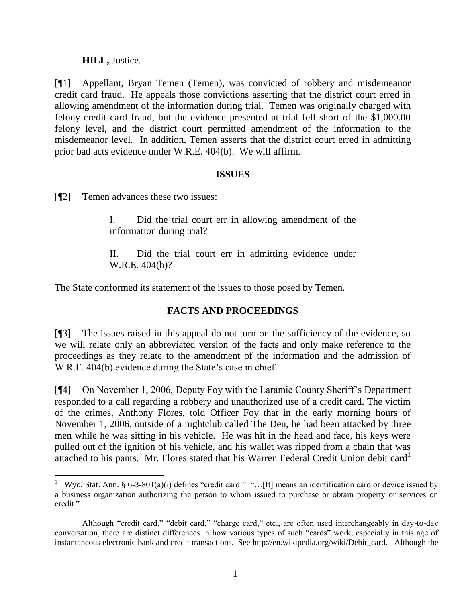## **HILL,** Justice.

[¶1] Appellant, Bryan Temen (Temen), was convicted of robbery and misdemeanor credit card fraud. He appeals those convictions asserting that the district court erred in allowing amendment of the information during trial. Temen was originally charged with felony credit card fraud, but the evidence presented at trial fell short of the \$1,000.00 felony level, and the district court permitted amendment of the information to the misdemeanor level. In addition, Temen asserts that the district court erred in admitting prior bad acts evidence under W.R.E. 404(b). We will affirm.

### **ISSUES**

[¶2] Temen advances these two issues:

I. Did the trial court err in allowing amendment of the information during trial?

II. Did the trial court err in admitting evidence under W.R.E. 404(b)?

The State conformed its statement of the issues to those posed by Temen.

# **FACTS AND PROCEEDINGS**

[¶3] The issues raised in this appeal do not turn on the sufficiency of the evidence, so we will relate only an abbreviated version of the facts and only make reference to the proceedings as they relate to the amendment of the information and the admission of W.R.E. 404(b) evidence during the State's case in chief.

[¶4] On November 1, 2006, Deputy Foy with the Laramie County Sheriff's Department responded to a call regarding a robbery and unauthorized use of a credit card. The victim of the crimes, Anthony Flores, told Officer Foy that in the early morning hours of November 1, 2006, outside of a nightclub called The Den, he had been attacked by three men while he was sitting in his vehicle. He was hit in the head and face, his keys were pulled out of the ignition of his vehicle, and his wallet was ripped from a chain that was attached to his pants. Mr. Flores stated that his Warren Federal Credit Union debit card<sup>1</sup>

<sup>&</sup>lt;sup>1</sup> Wyo. Stat. Ann. § 6-3-801(a)(i) defines "credit card:" "...[It] means an identification card or device issued by a business organization authorizing the person to whom issued to purchase or obtain property or services on credit"

Although "credit card," "debit card," "charge card," etc., are often used interchangeably in day-to-day conversation, there are distinct differences in how various types of such "cards" work, especially in this age of instantaneous electronic bank and credit transactions. See [http://en.wikipedia.org/wiki/Debit\\_card.](http://en.wikipedia.org/wiki/Debit_card) Although the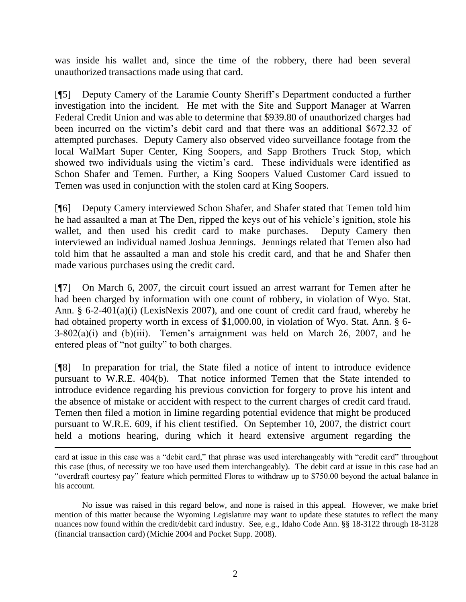was inside his wallet and, since the time of the robbery, there had been several unauthorized transactions made using that card.

[¶5] Deputy Camery of the Laramie County Sheriff's Department conducted a further investigation into the incident. He met with the Site and Support Manager at Warren Federal Credit Union and was able to determine that \$939.80 of unauthorized charges had been incurred on the victim's debit card and that there was an additional \$672.32 of attempted purchases. Deputy Camery also observed video surveillance footage from the local WalMart Super Center, King Soopers, and Sapp Brothers Truck Stop, which showed two individuals using the victim's card. These individuals were identified as Schon Shafer and Temen. Further, a King Soopers Valued Customer Card issued to Temen was used in conjunction with the stolen card at King Soopers.

[¶6] Deputy Camery interviewed Schon Shafer, and Shafer stated that Temen told him he had assaulted a man at The Den, ripped the keys out of his vehicle's ignition, stole his wallet, and then used his credit card to make purchases. Deputy Camery then interviewed an individual named Joshua Jennings. Jennings related that Temen also had told him that he assaulted a man and stole his credit card, and that he and Shafer then made various purchases using the credit card.

[¶7] On March 6, 2007, the circuit court issued an arrest warrant for Temen after he had been charged by information with one count of robbery, in violation of Wyo. Stat. Ann. § 6-2-401(a)(i) (LexisNexis 2007), and one count of credit card fraud, whereby he had obtained property worth in excess of \$1,000.00, in violation of Wyo. Stat. Ann. § 6-  $3-802(a)(i)$  and  $(b)(iii)$ . Temen's arraignment was held on March 26, 2007, and he entered pleas of "not guilty" to both charges.

[¶8] In preparation for trial, the State filed a notice of intent to introduce evidence pursuant to W.R.E. 404(b). That notice informed Temen that the State intended to introduce evidence regarding his previous conviction for forgery to prove his intent and the absence of mistake or accident with respect to the current charges of credit card fraud. Temen then filed a motion in limine regarding potential evidence that might be produced pursuant to W.R.E. 609, if his client testified. On September 10, 2007, the district court held a motions hearing, during which it heard extensive argument regarding the

card at issue in this case was a "debit card," that phrase was used interchangeably with "credit card" throughout this case (thus, of necessity we too have used them interchangeably). The debit card at issue in this case had an "overdraft courtesy pay" feature which permitted Flores to withdraw up to \$750.00 beyond the actual balance in his account.

No issue was raised in this regard below, and none is raised in this appeal. However, we make brief mention of this matter because the Wyoming Legislature may want to update these statutes to reflect the many nuances now found within the credit/debit card industry. See, e.g., Idaho Code Ann. §§ 18-3122 through 18-3128 (financial transaction card) (Michie 2004 and Pocket Supp. 2008).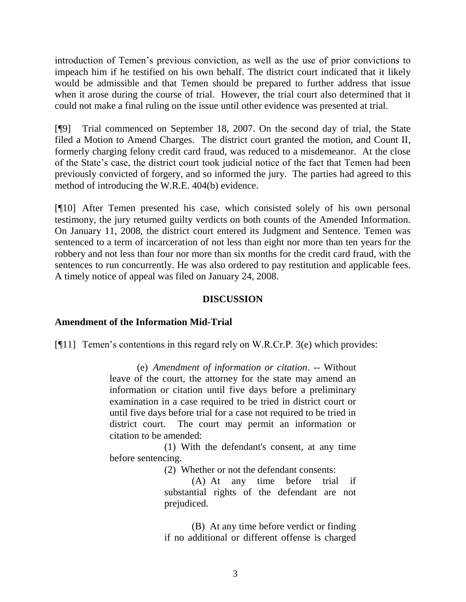introduction of Temen's previous conviction, as well as the use of prior convictions to impeach him if he testified on his own behalf. The district court indicated that it likely would be admissible and that Temen should be prepared to further address that issue when it arose during the course of trial. However, the trial court also determined that it could not make a final ruling on the issue until other evidence was presented at trial.

[¶9] Trial commenced on September 18, 2007. On the second day of trial, the State filed a Motion to Amend Charges. The district court granted the motion, and Count II, formerly charging felony credit card fraud, was reduced to a misdemeanor. At the close of the State's case, the district court took judicial notice of the fact that Temen had been previously convicted of forgery, and so informed the jury. The parties had agreed to this method of introducing the W.R.E. 404(b) evidence.

[¶10] After Temen presented his case, which consisted solely of his own personal testimony, the jury returned guilty verdicts on both counts of the Amended Information. On January 11, 2008, the district court entered its Judgment and Sentence. Temen was sentenced to a term of incarceration of not less than eight nor more than ten years for the robbery and not less than four nor more than six months for the credit card fraud, with the sentences to run concurrently. He was also ordered to pay restitution and applicable fees. A timely notice of appeal was filed on January 24, 2008.

## **DISCUSSION**

# **Amendment of the Information Mid-Trial**

[¶11] Temen's contentions in this regard rely on W.R.Cr.P. 3(e) which provides:

(e) *Amendment of information or citation*. -- Without leave of the court, the attorney for the state may amend an information or citation until five days before a preliminary examination in a case required to be tried in district court or until five days before trial for a case not required to be tried in district court. The court may permit an information or citation to be amended:

(1) With the defendant's consent, at any time before sentencing.

(2) Whether or not the defendant consents:

(A) At any time before trial if substantial rights of the defendant are not prejudiced.

(B) At any time before verdict or finding if no additional or different offense is charged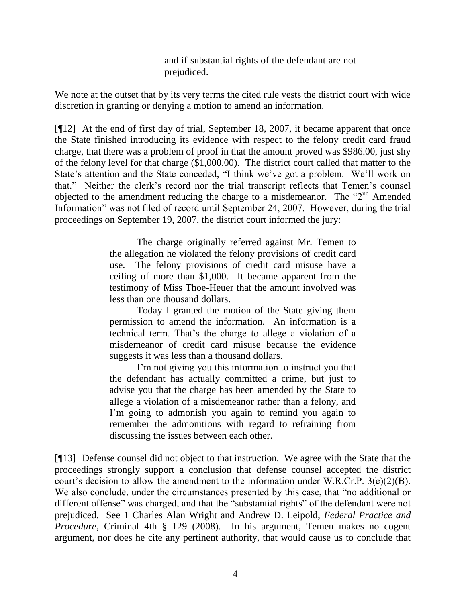and if substantial rights of the defendant are not prejudiced.

We note at the outset that by its very terms the cited rule vests the district court with wide discretion in granting or denying a motion to amend an information.

[¶12] At the end of first day of trial, September 18, 2007, it became apparent that once the State finished introducing its evidence with respect to the felony credit card fraud charge, that there was a problem of proof in that the amount proved was \$986.00, just shy of the felony level for that charge (\$1,000.00). The district court called that matter to the State's attention and the State conceded, "I think we've got a problem. We'll work on that." Neither the clerk's record nor the trial transcript reflects that Temen's counsel objected to the amendment reducing the charge to a misdemeanor. The " $2<sup>nd</sup>$  Amended Information" was not filed of record until September 24, 2007. However, during the trial proceedings on September 19, 2007, the district court informed the jury:

> The charge originally referred against Mr. Temen to the allegation he violated the felony provisions of credit card use. The felony provisions of credit card misuse have a ceiling of more than \$1,000. It became apparent from the testimony of Miss Thoe-Heuer that the amount involved was less than one thousand dollars.

> Today I granted the motion of the State giving them permission to amend the information. An information is a technical term. That's the charge to allege a violation of a misdemeanor of credit card misuse because the evidence suggests it was less than a thousand dollars.

> I'm not giving you this information to instruct you that the defendant has actually committed a crime, but just to advise you that the charge has been amended by the State to allege a violation of a misdemeanor rather than a felony, and I'm going to admonish you again to remind you again to remember the admonitions with regard to refraining from discussing the issues between each other.

[¶13] Defense counsel did not object to that instruction. We agree with the State that the proceedings strongly support a conclusion that defense counsel accepted the district court's decision to allow the amendment to the information under W.R.Cr.P. 3(e)(2)(B). We also conclude, under the circumstances presented by this case, that "no additional or different offense" was charged, and that the "substantial rights" of the defendant were not prejudiced. See 1 Charles Alan Wright and Andrew D. Leipold, *Federal Practice and Procedure*, Criminal 4th § 129 (2008). In his argument, Temen makes no cogent argument, nor does he cite any pertinent authority, that would cause us to conclude that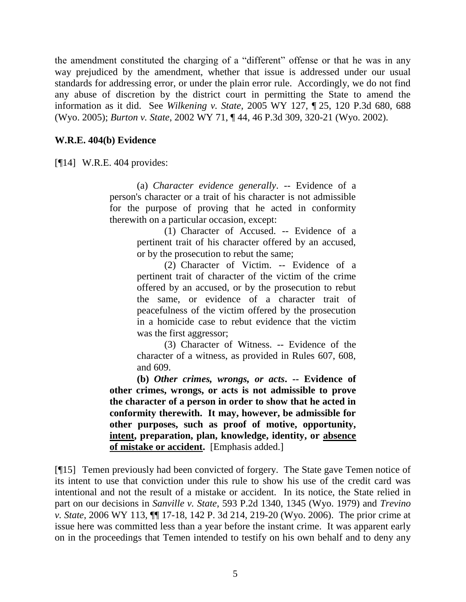the amendment constituted the charging of a "different" offense or that he was in any way prejudiced by the amendment, whether that issue is addressed under our usual standards for addressing error, or under the plain error rule. Accordingly, we do not find any abuse of discretion by the district court in permitting the State to amend the information as it did. See *Wilkening v. State*, 2005 WY 127, ¶ 25, 120 P.3d 680, 688 (Wyo. 2005); *Burton v. State*, 2002 WY 71, ¶ 44, 46 P.3d 309, 320-21 (Wyo. 2002).

### **W.R.E. 404(b) Evidence**

[¶14] W.R.E. 404 provides:

(a) *Character evidence generally*. -- Evidence of a person's character or a trait of his character is not admissible for the purpose of proving that he acted in conformity therewith on a particular occasion, except:

> (1) Character of Accused. -- Evidence of a pertinent trait of his character offered by an accused, or by the prosecution to rebut the same;

> (2) Character of Victim. -- Evidence of a pertinent trait of character of the victim of the crime offered by an accused, or by the prosecution to rebut the same, or evidence of a character trait of peacefulness of the victim offered by the prosecution in a homicide case to rebut evidence that the victim was the first aggressor;

> (3) Character of Witness. -- Evidence of the character of a witness, as provided in Rules 607, 608, and 609.

**(b)** *Other crimes, wrongs, or acts***. -- Evidence of other crimes, wrongs, or acts is not admissible to prove the character of a person in order to show that he acted in conformity therewith. It may, however, be admissible for other purposes, such as proof of motive, opportunity, intent, preparation, plan, knowledge, identity, or absence of mistake or accident.** [Emphasis added.]

[¶15] Temen previously had been convicted of forgery. The State gave Temen notice of its intent to use that conviction under this rule to show his use of the credit card was intentional and not the result of a mistake or accident. In its notice, the State relied in part on our decisions in *Sanville v. State*, 593 P.2d 1340, 1345 (Wyo. 1979) and *Trevino v. State*, 2006 WY 113, ¶¶ 17-18, 142 P. 3d 214, 219-20 (Wyo. 2006). The prior crime at issue here was committed less than a year before the instant crime. It was apparent early on in the proceedings that Temen intended to testify on his own behalf and to deny any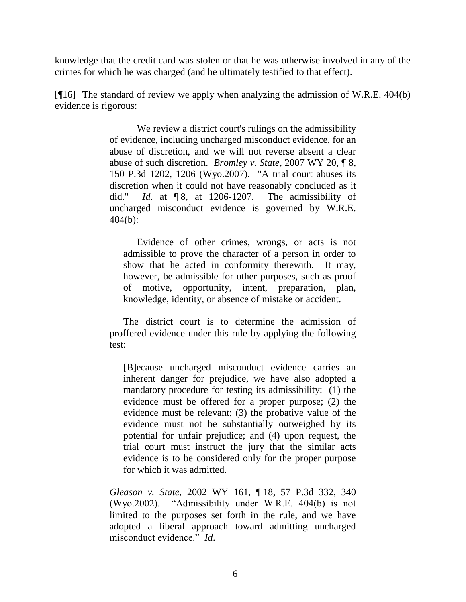knowledge that the credit card was stolen or that he was otherwise involved in any of the crimes for which he was charged (and he ultimately testified to that effect).

[¶16] The standard of review we apply when analyzing the admission of W.R.E. 404(b) evidence is rigorous:

> We review a district court's rulings on the admissibility of evidence, including uncharged misconduct evidence, for an abuse of discretion, and we will not reverse absent a clear abuse of such discretion. *Bromley v. State*, 2007 WY 20, ¶ 8, 150 P.3d 1202, 1206 (Wyo.2007). "A trial court abuses its discretion when it could not have reasonably concluded as it did." *Id*. at ¶ 8, at 1206-1207. The admissibility of uncharged misconduct evidence is governed by W.R.E. 404(b):

Evidence of other crimes, wrongs, or acts is not admissible to prove the character of a person in order to show that he acted in conformity therewith. It may, however, be admissible for other purposes, such as proof of motive, opportunity, intent, preparation, plan, knowledge, identity, or absence of mistake or accident.

The district court is to determine the admission of proffered evidence under this rule by applying the following test:

[B]ecause uncharged misconduct evidence carries an inherent danger for prejudice, we have also adopted a mandatory procedure for testing its admissibility: (1) the evidence must be offered for a proper purpose; (2) the evidence must be relevant; (3) the probative value of the evidence must not be substantially outweighed by its potential for unfair prejudice; and (4) upon request, the trial court must instruct the jury that the similar acts evidence is to be considered only for the proper purpose for which it was admitted.

*Gleason v. State*, 2002 WY 161, ¶ 18, 57 P.3d 332, 340 (Wyo.2002). "Admissibility under W.R.E. 404(b) is not limited to the purposes set forth in the rule, and we have adopted a liberal approach toward admitting uncharged misconduct evidence." *Id*.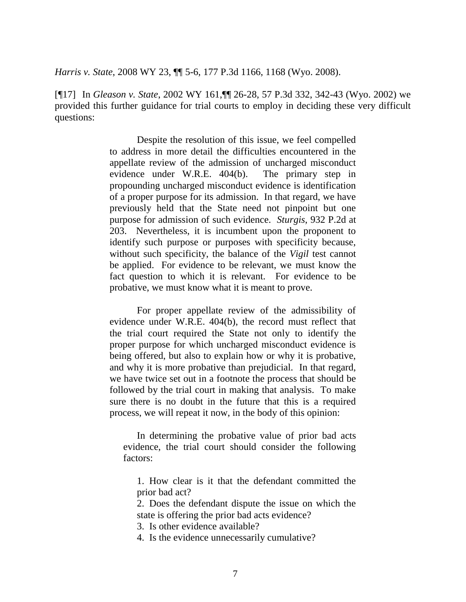*Harris v. State*, 2008 WY 23, ¶¶ 5-6, 177 P.3d 1166, 1168 (Wyo. 2008).

[¶17] In *Gleason v. State*, 2002 WY 161,¶¶ 26-28, 57 P.3d 332, 342-43 (Wyo. 2002) we provided this further guidance for trial courts to employ in deciding these very difficult questions:

> Despite the resolution of this issue, we feel compelled to address in more detail the difficulties encountered in the appellate review of the admission of uncharged misconduct evidence under W.R.E. 404(b). The primary step in propounding uncharged misconduct evidence is identification of a proper purpose for its admission. In that regard, we have previously held that the State need not pinpoint but one purpose for admission of such evidence. *Sturgis*, 932 P.2d at 203. Nevertheless, it is incumbent upon the proponent to identify such purpose or purposes with specificity because, without such specificity, the balance of the *Vigil* test cannot be applied. For evidence to be relevant, we must know the fact question to which it is relevant. For evidence to be probative, we must know what it is meant to prove.

> For proper appellate review of the admissibility of evidence under W.R.E. 404(b), the record must reflect that the trial court required the State not only to identify the proper purpose for which uncharged misconduct evidence is being offered, but also to explain how or why it is probative, and why it is more probative than prejudicial. In that regard, we have twice set out in a footnote the process that should be followed by the trial court in making that analysis. To make sure there is no doubt in the future that this is a required process, we will repeat it now, in the body of this opinion:

In determining the probative value of prior bad acts evidence, the trial court should consider the following factors:

1. How clear is it that the defendant committed the prior bad act?

2. Does the defendant dispute the issue on which the state is offering the prior bad acts evidence?

3. Is other evidence available?

4. Is the evidence unnecessarily cumulative?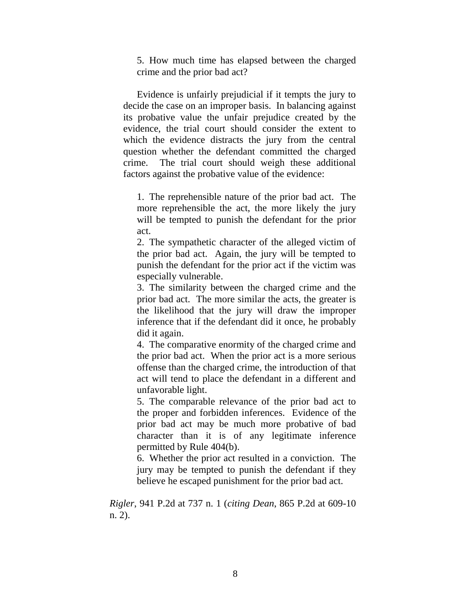5. How much time has elapsed between the charged crime and the prior bad act?

Evidence is unfairly prejudicial if it tempts the jury to decide the case on an improper basis. In balancing against its probative value the unfair prejudice created by the evidence, the trial court should consider the extent to which the evidence distracts the jury from the central question whether the defendant committed the charged crime. The trial court should weigh these additional factors against the probative value of the evidence:

1. The reprehensible nature of the prior bad act. The more reprehensible the act, the more likely the jury will be tempted to punish the defendant for the prior act.

2. The sympathetic character of the alleged victim of the prior bad act. Again, the jury will be tempted to punish the defendant for the prior act if the victim was especially vulnerable.

3. The similarity between the charged crime and the prior bad act. The more similar the acts, the greater is the likelihood that the jury will draw the improper inference that if the defendant did it once, he probably did it again.

4. The comparative enormity of the charged crime and the prior bad act. When the prior act is a more serious offense than the charged crime, the introduction of that act will tend to place the defendant in a different and unfavorable light.

5. The comparable relevance of the prior bad act to the proper and forbidden inferences. Evidence of the prior bad act may be much more probative of bad character than it is of any legitimate inference permitted by Rule 404(b).

6. Whether the prior act resulted in a conviction. The jury may be tempted to punish the defendant if they believe he escaped punishment for the prior bad act.

*Rigler*, 941 P.2d at 737 n. 1 (*citing Dean*, 865 P.2d at 609-10 n. 2).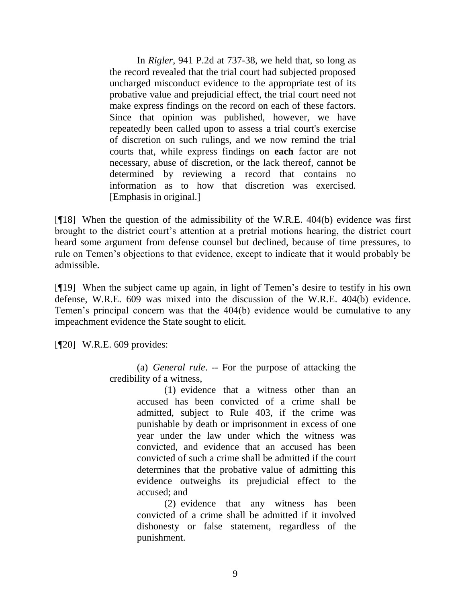In *Rigler*, 941 P.2d at 737-38, we held that, so long as the record revealed that the trial court had subjected proposed uncharged misconduct evidence to the appropriate test of its probative value and prejudicial effect, the trial court need not make express findings on the record on each of these factors. Since that opinion was published, however, we have repeatedly been called upon to assess a trial court's exercise of discretion on such rulings, and we now remind the trial courts that, while express findings on **each** factor are not necessary, abuse of discretion, or the lack thereof, cannot be determined by reviewing a record that contains no information as to how that discretion was exercised. [Emphasis in original.]

[¶18] When the question of the admissibility of the W.R.E. 404(b) evidence was first brought to the district court's attention at a pretrial motions hearing, the district court heard some argument from defense counsel but declined, because of time pressures, to rule on Temen's objections to that evidence, except to indicate that it would probably be admissible.

[¶19] When the subject came up again, in light of Temen's desire to testify in his own defense, W.R.E. 609 was mixed into the discussion of the W.R.E. 404(b) evidence. Temen's principal concern was that the 404(b) evidence would be cumulative to any impeachment evidence the State sought to elicit.

[¶20] W.R.E. 609 provides:

(a) *General rule*. -- For the purpose of attacking the credibility of a witness,

> (1) evidence that a witness other than an accused has been convicted of a crime shall be admitted, subject to Rule 403, if the crime was punishable by death or imprisonment in excess of one year under the law under which the witness was convicted, and evidence that an accused has been convicted of such a crime shall be admitted if the court determines that the probative value of admitting this evidence outweighs its prejudicial effect to the accused; and

> (2) evidence that any witness has been convicted of a crime shall be admitted if it involved dishonesty or false statement, regardless of the punishment.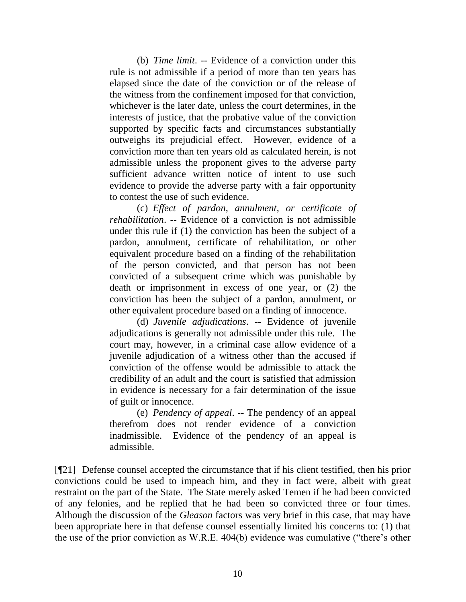(b) *Time limit*. -- Evidence of a conviction under this rule is not admissible if a period of more than ten years has elapsed since the date of the conviction or of the release of the witness from the confinement imposed for that conviction, whichever is the later date, unless the court determines, in the interests of justice, that the probative value of the conviction supported by specific facts and circumstances substantially outweighs its prejudicial effect. However, evidence of a conviction more than ten years old as calculated herein, is not admissible unless the proponent gives to the adverse party sufficient advance written notice of intent to use such evidence to provide the adverse party with a fair opportunity to contest the use of such evidence.

(c) *Effect of pardon, annulment, or certificate of rehabilitation*. -- Evidence of a conviction is not admissible under this rule if (1) the conviction has been the subject of a pardon, annulment, certificate of rehabilitation, or other equivalent procedure based on a finding of the rehabilitation of the person convicted, and that person has not been convicted of a subsequent crime which was punishable by death or imprisonment in excess of one year, or (2) the conviction has been the subject of a pardon, annulment, or other equivalent procedure based on a finding of innocence.

(d) *Juvenile adjudications*. -- Evidence of juvenile adjudications is generally not admissible under this rule. The court may, however, in a criminal case allow evidence of a juvenile adjudication of a witness other than the accused if conviction of the offense would be admissible to attack the credibility of an adult and the court is satisfied that admission in evidence is necessary for a fair determination of the issue of guilt or innocence.

(e) *Pendency of appeal*. -- The pendency of an appeal therefrom does not render evidence of a conviction inadmissible. Evidence of the pendency of an appeal is admissible.

[¶21] Defense counsel accepted the circumstance that if his client testified, then his prior convictions could be used to impeach him, and they in fact were, albeit with great restraint on the part of the State. The State merely asked Temen if he had been convicted of any felonies, and he replied that he had been so convicted three or four times. Although the discussion of the *Gleason* factors was very brief in this case, that may have been appropriate here in that defense counsel essentially limited his concerns to: (1) that the use of the prior conviction as W.R.E. 404(b) evidence was cumulative ("there's other